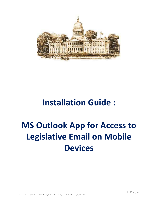

# **Installation Guide :**

# **MS Outlook App for Access to Legislative Email on Mobile Devices**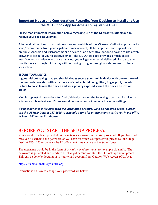### **Important Notice and Considerations Regarding Your Decision to Install and Use the MS Outlook App for Access To Legislative Email**

#### **Please read important Information below regarding use of the Microsoft Outlook app to receive your Legislative email.**

After evaluation of security considerations and usability of the Microsoft Outlook app for use to send/receive email from your legislative email account, LIT has approved and supports its use on Apple, Android and Microsoft mobile devices as an alternative option to having to use a web browser to log in for your legislative email. The MS Outlook app provides a much better interface and experience and once installed, you will get your email delivered directly to your mobile device throughout the day without having to log in through a web browser to check your inbox.

#### **SECURE YOUR DEVICE!**

**It goes without saying that you should always secure your mobile device with one or more of the methods provided with your device of choice: facial recognition, finger print, pin, etc.. Failure to do so leaves the device and your privacy exposed should the device be lost or stolen**.

Mobile app install instructions for Android devices are on the following pages. An install on a Windows mobile device or iPhone would be similar and will require the same settings.

*If you experience difficulties with the installation or setup, we'd be happy to assist. Simply call the LIT Help Desk at 287‐1625 to schedule a time for a technician to assist you in our office in Room 262 in the Statehouse.* 

# BERORE YOU START THE SETUP PROCESS…

You should have been provided with a network username and initial password. If you have not received a username and password or you have forgotten your password, please call the Help Desk at 287-1625 or come to the IT office next time you are at the State House.

The username would be in the form of *domain name/username,* for example sh/jsmith. The password is generated and needs to be changed *before* you start the Outlook app setup process. This can be done by logging in to your email account from Outlook Web Access (OWA) at

https://Webmail.mainlegislature.org

Instructions on how to change your password are below.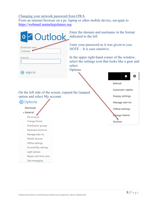### Changing your network password from OWA

From an internet browser on a pc, laptop or other mobile device, navigate to https://webmail.mainelegislature.org

| <b>o</b> Outlook                                   | Enter the domain and username in the format<br>indicated to the left                                                      |                          |
|----------------------------------------------------|---------------------------------------------------------------------------------------------------------------------------|--------------------------|
| Domain\user name:<br>sh\jbushey                    | Enter your password as it was given to you.<br>$NOTE - It$ is case sensitive.                                             |                          |
| Password:<br>$\Theta$ sign in                      | In the upper right-hand corner of the window,<br>select the settings icon that looks like a gear and<br>select<br>Options |                          |
|                                                    |                                                                                                                           |                          |
|                                                    |                                                                                                                           | <b>Refresh</b>           |
|                                                    |                                                                                                                           | <b>Automatic replies</b> |
| On the left side of the screen, expand the General |                                                                                                                           | <b>Display settings</b>  |
| option and select My account                       |                                                                                                                           |                          |
| <b>⊖</b> Options                                   |                                                                                                                           | Manage add-ins           |
| <b>Shortcuts</b>                                   |                                                                                                                           | Offline settings         |
| ⊿ General                                          |                                                                                                                           |                          |
| My account                                         |                                                                                                                           | <b>Nange theme</b>       |
| Change theme                                       |                                                                                                                           | Options                  |
| Distribution groups                                |                                                                                                                           |                          |
| Keyboard shortcuts                                 |                                                                                                                           |                          |
| Manage add-ins                                     |                                                                                                                           |                          |
| Mobile devices                                     |                                                                                                                           |                          |
| Offline settings                                   |                                                                                                                           |                          |
| Accessibility settings                             |                                                                                                                           |                          |
| Light version                                      |                                                                                                                           |                          |
| Region and time zone                               |                                                                                                                           |                          |

Text messaging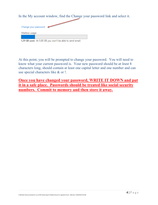In the My account window, find the Change your password link and select it.

| Change your password                                      |  |  |  |  |  |
|-----------------------------------------------------------|--|--|--|--|--|
| Mailbox usage                                             |  |  |  |  |  |
|                                                           |  |  |  |  |  |
| 1.29 GB used. At 5.00 GB you won't be able to send email. |  |  |  |  |  |

At this point, you will be prompted to change your password. You will need to know what your current password is. Your new password should be *at least* 8 characters long, should contain at least one capital letter and one number and can use special characters like & or !.

**Once you have changed your password, WRITE IT DOWN and put it in a safe place. Passwords should be treated like social security numbers. Commit to memory and then store it away.**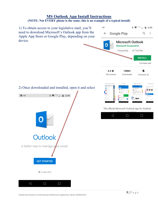# **MS Outlook App Install Instructions**

## **(NOTE: Not EVERY phone is the same, this is an example of a typical install)**

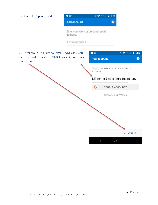| 3) You'll be prompted to                                                                                   | <b>B</b> 65°                                  | 2:50                                          |                                                                                                                               |
|------------------------------------------------------------------------------------------------------------|-----------------------------------------------|-----------------------------------------------|-------------------------------------------------------------------------------------------------------------------------------|
|                                                                                                            | <b>Add account</b>                            | ❷                                             |                                                                                                                               |
|                                                                                                            | Enter your work or personal email<br>address. |                                               |                                                                                                                               |
|                                                                                                            | Email address                                 |                                               |                                                                                                                               |
| 4) Enter your Legislative email address (you<br>were provided in your NMO packet) and pick<br>Continue $>$ |                                               | $\overline{3}$ 65°<br><b>Add account</b>      | $\textbf{1}_{\text{max}} \otimes \textbf{1}_{\text{max}} \otimes \textbf{1}_{\text{max}}$<br>$\blacksquare$ 2:50<br>$\bullet$ |
|                                                                                                            |                                               | Enter your work or personal email<br>address. |                                                                                                                               |
|                                                                                                            |                                               | Nik.rende@legislature.maine.gov               |                                                                                                                               |
|                                                                                                            |                                               | G<br><b>GOOGLE ACCOUNTS</b>                   |                                                                                                                               |
|                                                                                                            |                                               | PRIVACY AND TERMS                             |                                                                                                                               |
|                                                                                                            |                                               |                                               |                                                                                                                               |
|                                                                                                            |                                               |                                               |                                                                                                                               |
|                                                                                                            |                                               |                                               |                                                                                                                               |
|                                                                                                            |                                               |                                               |                                                                                                                               |
|                                                                                                            |                                               |                                               | <b>CONTINUE &gt;</b>                                                                                                          |
|                                                                                                            |                                               | $\triangle$<br>$\bigcirc$                     | Ω                                                                                                                             |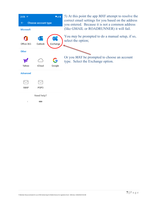| $2:05$ 38°                 |                  | $\bullet$ 48 | 5) At this point the app <i>MAY</i> attempt to resolve the                                             |
|----------------------------|------------------|--------------|--------------------------------------------------------------------------------------------------------|
| <b>Choose account type</b> |                  |              | correct email settings for you based on the address<br>you entered. Because it is not a common address |
| <b>Microsoft</b>           |                  |              | (like GMAIL or ROADRUNNER) it will fail.                                                               |
|                            |                  |              | You <i>may</i> be prompted to do a manual setup, if so,<br>select the option;                          |
| Office 365                 | Outlook          | Exchange     |                                                                                                        |
| <b>Other</b>               |                  |              |                                                                                                        |
|                            |                  |              | Or you <i>MAY</i> be prompted to choose an account<br>type. Select the Exchange option.                |
| Yahoo                      | iCloud           | Google       |                                                                                                        |
| <b>Advanced</b>            |                  |              |                                                                                                        |
|                            |                  |              |                                                                                                        |
| <b>IMAP</b>                | POP <sub>3</sub> |              |                                                                                                        |
|                            | Need help?       |              |                                                                                                        |
| $\,<$                      |                  |              |                                                                                                        |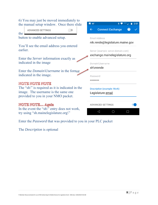| 6) You may just be moved immediately to                                                                                                         | $\overline{5}$ 65°<br>$\ast$<br>2:51                    |
|-------------------------------------------------------------------------------------------------------------------------------------------------|---------------------------------------------------------|
| the manual setup window. Once there slide<br>ADVANCED SETTINGS<br>the                                                                           | <b>Connect Exchange</b><br>$\leftarrow$                 |
| button to enable advanced setup.                                                                                                                | Email Address<br>nik.rende@legislature.maine.gov        |
| You'll see the email address you entered<br>earlier.                                                                                            | Server (example: server.domain.com)                     |
| Enter the <i>Server</i> information exactly as<br>indicated in the image                                                                        | exchange.mainelegislature.org<br>Domain\Username        |
| Enter the <i>Domain</i> \ <i>Username</i> in the format<br>indicated in the image.                                                              | sh\nrende<br>Password                                   |
| NOTE NOTE NOTE<br>The "sh'" is required as it is indicated in the<br>image. The username is the same one<br>provided to you in your NMO packet. | <b>Description (example: Work)</b><br>Legislature email |
| <b>NOTE NOTE Again</b><br>In the event the "sh\" entry does not work,<br>try using "sh.mainelegislature.org\"                                   | <b>ADVANCED SETTINGS</b>                                |

Enter the *Password* that was provided to you in your PLC packet

The *Description* is optional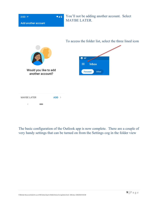

The basic configuration of the Outlook app is now complete. There are a couple of very handy settings that can be turned on from the Settings cog in the folder view